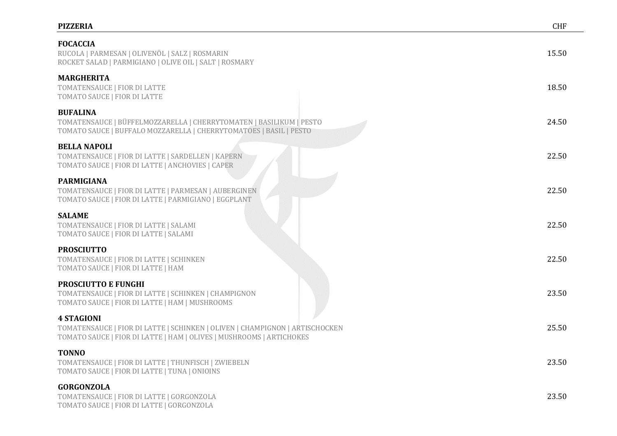## **PIZZERIA** CHF

| <b>FOCACCIA</b><br>RUCOLA   PARMESAN   OLIVENÖL   SALZ   ROSMARIN<br>ROCKET SALAD   PARMIGIANO   OLIVE OIL   SALT   ROSMARY                                               | 15.50 |
|---------------------------------------------------------------------------------------------------------------------------------------------------------------------------|-------|
| <b>MARGHERITA</b><br>TOMATENSAUCE   FIOR DI LATTE<br>TOMATO SAUCE   FIOR DI LATTE                                                                                         | 18.50 |
| <b>BUFALINA</b><br>TOMATENSAUCE   BÜFFELMOZZARELLA   CHERRYTOMATEN   BASILIKUM   PESTO<br>TOMATO SAUCE   BUFFALO MOZZARELLA   CHERRYTOMATOES   BASIL   PESTO              | 24.50 |
| <b>BELLA NAPOLI</b><br>TOMATENSAUCE   FIOR DI LATTE   SARDELLEN   KAPERN<br>TOMATO SAUCE   FIOR DI LATTE   ANCHOVIES   CAPER                                              | 22.50 |
| <b>PARMIGIANA</b><br>TOMATENSAUCE   FIOR DI LATTE   PARMESAN   AUBERGINEN<br>TOMATO SAUCE   FIOR DI LATTE   PARMIGIANO   EGGPLANT                                         | 22.50 |
| <b>SALAME</b><br>TOMATENSAUCE   FIOR DI LATTE   SALAMI<br>TOMATO SAUCE   FIOR DI LATTE   SALAMI                                                                           | 22.50 |
| <b>PROSCIUTTO</b><br>TOMATENSAUCE   FIOR DI LATTE   SCHINKEN<br>TOMATO SAUCE   FIOR DI LATTE   HAM                                                                        | 22.50 |
| <b>PROSCIUTTO E FUNGHI</b><br>TOMATENSAUCE   FIOR DI LATTE   SCHINKEN   CHAMPIGNON<br>TOMATO SAUCE   FIOR DI LATTE   HAM   MUSHROOMS                                      | 23.50 |
| <b>4 STAGIONI</b><br>TOMATENSAUCE   FIOR DI LATTE   SCHINKEN   OLIVEN   CHAMPIGNON   ARTISCHOCKEN<br>TOMATO SAUCE   FIOR DI LATTE   HAM   OLIVES   MUSHROOMS   ARTICHOKES | 25.50 |
| <b>TONNO</b><br>TOMATENSAUCE   FIOR DI LATTE   THUNFISCH   ZWIEBELN<br>TOMATO SAUCE   FIOR DI LATTE   TUNA   ONIOINS                                                      | 23.50 |
| <b>GORGONZOLA</b><br>TOMATENSAUCE   FIOR DI LATTE   GORGONZOLA<br>TOMATO SAUCE   FIOR DI LATTE   GORGONZOLA                                                               | 23.50 |